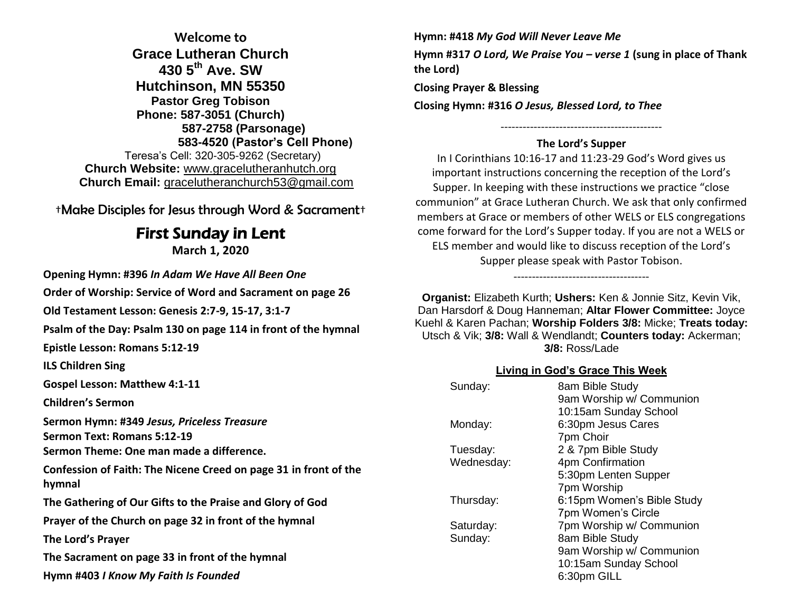**Welcome to Grace Lutheran Church 430 5th Ave. SW Hutchinson, MN 55350 Pastor Greg Tobison Phone: 587-3051 (Church) 587-2758 (Parsonage) 583-4520 (Pastor's Cell Phone)** Teresa's Cell: 320-305-9262 (Secretary) **Church Website:** [www.gracelutheranhutch.org](http://www.gracelutheranhutch.org/) **Church Email:** [gracelutheranchurch53@gmail.com](mailto:gracelutheranchurch53@gmail.com)

†Make Disciples for Jesus through Word & Sacrament†

# First Sunday in Lent

**March 1, 2020**

**Opening Hymn: #396** *In Adam We Have All Been One*

**Order of Worship: Service of Word and Sacrament on page 26** 

**Old Testament Lesson: Genesis 2:7-9, 15-17, 3:1-7**

**Psalm of the Day: Psalm 130 on page 114 in front of the hymnal** 

**Epistle Lesson: Romans 5:12-19**

**ILS Children Sing**

**Gospel Lesson: Matthew 4:1-11**

**Children's Sermon**

**Sermon Hymn: #349** *Jesus, Priceless Treasure* **Sermon Text: Romans 5:12-19**

**Sermon Theme: One man made a difference.**

**Confession of Faith: The Nicene Creed on page 31 in front of the hymnal**

**The Gathering of Our Gifts to the Praise and Glory of God**

**Prayer of the Church on page 32 in front of the hymnal**

**The Lord's Prayer**

**The Sacrament on page 33 in front of the hymnal** 

**Hymn #403** *I Know My Faith Is Founded*

**Hymn: #418** *My God Will Never Leave Me* **Hymn #317** *O Lord, We Praise You – verse 1* **(sung in place of Thank the Lord)**

**Closing Prayer & Blessing**

**Closing Hymn: #316** *O Jesus, Blessed Lord, to Thee*

# -------------------------------------------- **The Lord's Supper**

In I Corinthians 10:16-17 and 11:23-29 God's Word gives us important instructions concerning the reception of the Lord's Supper. In keeping with these instructions we practice "close communion" at Grace Lutheran Church. We ask that only confirmed members at Grace or members of other WELS or ELS congregations come forward for the Lord's Supper today. If you are not a WELS or ELS member and would like to discuss reception of the Lord's Supper please speak with Pastor Tobison.

-------------------------------------

**Organist:** Elizabeth Kurth; **Ushers:** Ken & Jonnie Sitz, Kevin Vik, Dan Harsdorf & Doug Hanneman; **Altar Flower Committee:** Joyce Kuehl & Karen Pachan; **Worship Folders 3/8:** Micke; **Treats today:** Utsch & Vik; **3/8:** Wall & Wendlandt; **Counters today:** Ackerman; **3/8:** Ross/Lade

## **Living in God's Grace This Week**

| Sunday:    | 8am Bible Study            |
|------------|----------------------------|
|            | 9am Worship w/ Communion   |
|            | 10:15am Sunday School      |
| Monday:    | 6:30pm Jesus Cares         |
|            | 7pm Choir                  |
| Tuesday:   | 2 & 7pm Bible Study        |
| Wednesday: | 4pm Confirmation           |
|            | 5:30pm Lenten Supper       |
|            | 7pm Worship                |
| Thursday:  | 6:15pm Women's Bible Study |
|            | 7pm Women's Circle         |
| Saturday:  | 7pm Worship w/ Communion   |
| Sunday:    | 8am Bible Study            |
|            | 9am Worship w/ Communion   |
|            | 10:15am Sunday School      |
|            | 6:30pm GILL                |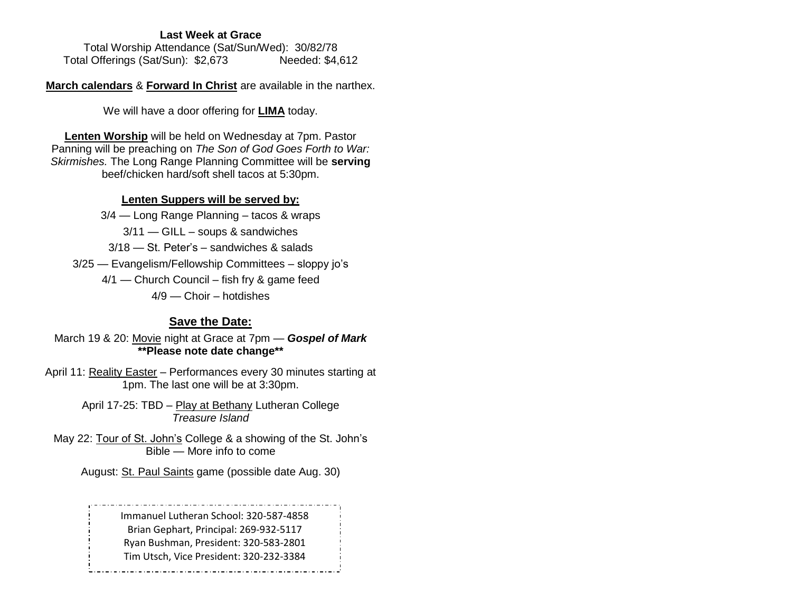#### **Last Week at Grace**

Total Worship Attendance (Sat/Sun/Wed): 30/82/78 Total Offerings (Sat/Sun): \$2,673 Needed: \$4,612

**March calendars** & **Forward In Christ** are available in the narthex.

We will have a door offering for **LIMA** today.

**Lenten Worship** will be held on Wednesday at 7pm. Pastor Panning will be preaching on *The Son of God Goes Forth to War: Skirmishes.* The Long Range Planning Committee will be **serving** beef/chicken hard/soft shell tacos at 5:30pm.

#### **Lenten Suppers will be served by:**

3/4 — Long Range Planning – tacos & wraps 3/11 — GILL – soups & sandwiches 3/18 — St. Peter's – sandwiches & salads 3/25 — Evangelism/Fellowship Committees – sloppy jo's 4/1 — Church Council – fish fry & game feed 4/9 — Choir – hotdishes

# **Save the Date:**

March 19 & 20: Movie night at Grace at 7pm — *Gospel of Mark* **\*\*Please note date change\*\***

April 11: Reality Easter – Performances every 30 minutes starting at 1pm. The last one will be at 3:30pm.

> April 17-25: TBD - Play at Bethany Lutheran College *Treasure Island*

May 22: Tour of St. John's College & a showing of the St. John's Bible — More info to come

August: St. Paul Saints game (possible date Aug. 30)

Immanuel Lutheran School: 320-587-4858 Brian Gephart, Principal: 269-932-5117 Ryan Bushman, President: 320-583-2801 Tim Utsch, Vice President: 320-232-3384